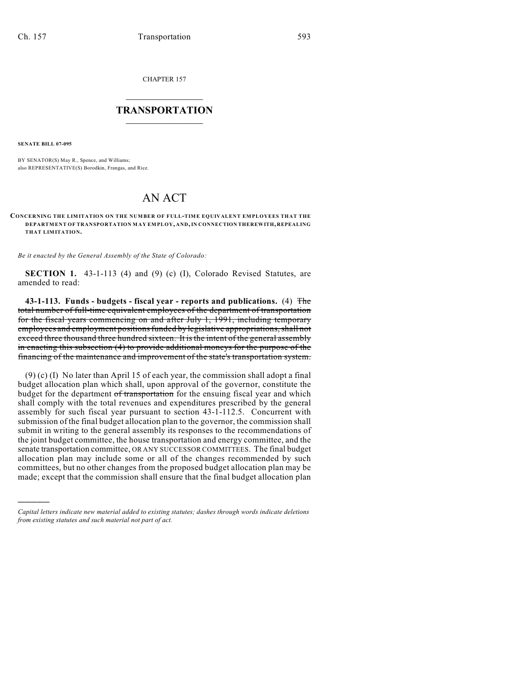CHAPTER 157

## $\overline{\phantom{a}}$  . The set of the set of the set of the set of the set of the set of the set of the set of the set of the set of the set of the set of the set of the set of the set of the set of the set of the set of the set o **TRANSPORTATION**  $\_$   $\_$   $\_$   $\_$   $\_$   $\_$   $\_$   $\_$   $\_$

**SENATE BILL 07-095**

)))))

BY SENATOR(S) May R., Spence, and Williams; also REPRESENTATIVE(S) Borodkin, Frangas, and Rice.

## AN ACT

## **CONCERNING THE LIMITATION ON THE NUMBER OF FULL-TIME EQUIVALENT EMPLOYEES THAT THE DEPARTMENT OF TRANSPORTATION MAY EMPLOY, AND, IN CONNECTION THEREWITH, REPEALING THAT LIMITATION.**

*Be it enacted by the General Assembly of the State of Colorado:*

**SECTION 1.** 43-1-113 (4) and (9) (c) (I), Colorado Revised Statutes, are amended to read:

**43-1-113. Funds - budgets - fiscal year - reports and publications.** (4) The total number of full-time equivalent employees of the department of transportation for the fiscal years commencing on and after July 1, 1991, including temporary employees and employment positions funded by legislative appropriations, shall not exceed three thousand three hundred sixteen. It is the intent of the general assembly in enacting this subsection (4) to provide additional moneys for the purpose of the financing of the maintenance and improvement of the state's transportation system.

(9) (c) (I) No later than April 15 of each year, the commission shall adopt a final budget allocation plan which shall, upon approval of the governor, constitute the budget for the department of transportation for the ensuing fiscal year and which shall comply with the total revenues and expenditures prescribed by the general assembly for such fiscal year pursuant to section 43-1-112.5. Concurrent with submission of the final budget allocation plan to the governor, the commission shall submit in writing to the general assembly its responses to the recommendations of the joint budget committee, the house transportation and energy committee, and the senate transportation committee, OR ANY SUCCESSOR COMMITTEES. The final budget allocation plan may include some or all of the changes recommended by such committees, but no other changes from the proposed budget allocation plan may be made; except that the commission shall ensure that the final budget allocation plan

*Capital letters indicate new material added to existing statutes; dashes through words indicate deletions from existing statutes and such material not part of act.*